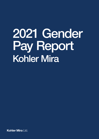# 2021 Gender Pay Report Kohler Mira

Kohler Mira Ltd.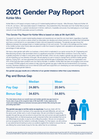# 2021 Gender Pay Report Kohler Mira

Kohler Mira is a UK based company made up of 3 market leading bathroom brands – Mira Showers, Rada and Kohler UK. In the UK, we have c. 800 associates based in Cheltenham, Gloucestershire (HQ), Worcester and Hull. Kohler Mira is proud to be part of Kohler Co., a global manufacturer in kitchen, bathroom, hospitality and power, thus belonging to a much larger network of over 38,000 associates across 6 continents.

#### This Gender Pay Report for Kohler Mira is based on data at 5th April 2021.

To support our drive to create market-leading designs and experiences we need the very best talent, regardless of gender. With this in mind, we nurture a culture where our associates can develop and where everyone can achieve their full potential and have a commitment to our associates to foster a fair and respectful workplace. The gender pay gap shows the difference between the average (mean or median) earnings of men and women. The mean is the average and the median is the middle number when hourly rates are placed in order from lowest to highest; both calculations are expressed as a percentage of male earnings.

We have a clear gender split within our business, a trend which is replicated in our sector across the UK. Engineering and Manufacturing remains male dominated which is a significant proportion of Kohler Mira's workforce. Due to this, there is a greater proportion of males in more senior roles than females, which not only creates a gender pay gap but also means we are impacting our true diversity of thought. We are playing our part in trying to change that to achieve a better gender balance. During 2021, we have appointed and promoted several females to leadership roles within our organisation and 40% of the Executive team positions are now held by females. In addition, Kohler Mira has been encouraging more women to consider STEAM subjects and careers to help close the gender pay gap in skills that are fundamental to our business success. Business initiatives such as an internal D,E&I audit have supported us in developing our ever-evolving approach to supporting an equal gender balance.

Our gender pay gap results are a reflection of our gender imbalance rather than a pay imbalance.

## Pay and Bonus Gap

|                  | <b>Median</b> | <b>Mean</b> |
|------------------|---------------|-------------|
| <b>Pay Gap</b>   | 24.86%        | 20.94%      |
| <b>Bonus Gap</b> | 34.63%        | 54.85%      |

The chart above shows our overall mean and median gender pay gap based on hourly rates of pay at the snapshot date of 5th April 2021. It also captures the mean and median difference between bonuses paid at Kohler Mira during the year preceding April 2021.\*

The gender pay gap is not the same as equal pay. Equal pay deals with the differences in pay which members of the opposite sex are paid differently, yet carry out the same work, similar work or work of equal value. We are committed to supporting equality through fair pay and we strive to ensure that men and women are paid equally for doing equal work; an internal equal pay audit conducted further demonstrated that we do not differentiate structurally on pay by who is filling the position. We are not complacent and we recognise that the market is continually changing. For that reason, we will continue to use external benchmarking to price our positions against the market to ensure that we are offering the correct levels of pay for the role, rather than for an individual.

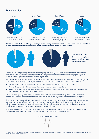### Pay Quartiles



The above pie charts illustrate the gender pay gap within 4 evenly distributed quartiles of our business. It is important to us to treat our employees fairly; therefore 100% of our associates are eligible for an annual bonus.\*\*



From April 2020-21, the % of those in receipt of a bonus was 95% of males and 96% of females.

Kohler Co. has a long-standing commitment to pay equality and diversity, and our employment decisions are based on principles of equal opportunity. The company is making progress on its diversity and inclusion strategic plan objectives. In the UK we are aligned and committed to achieving this plan.

Here at Kohler Mira, we are committed to creating a culture where diverse talent is welcomed. We want to encourage and attract new and diverse ways of thinking and create an environment where these can flourish. We will do this by:

- Ensuring diversity and inclusion is at the forefront when attracting and developing our talent pipeline
- Better understanding the data we have and implement a plan to improve our statistics
- Fostering an environment where equal opportunities are offered to all, barriers to progression are removed and where associates feel they can bring their true self to work.

We will win by supporting every manager within the business to look at everything through the lens of 'have I created conditions where every person can contribute in their unique, meaningful way and feel safe and secure in doing so?'

The customer is changing and so is the way we shop. As a business, we should be reflective of the consumer voice in how we design, market, manufacture, sell and also service our products. We believe that diverse teams can help us to achieve this and deliver the best performance. We are confident that as work continues on the diversity and inclusion plan, our gender pay gap statistics will continue to improve and the gaps will reduce.

To achieve our vision and to be a truly successful business, we are seeking applications from high quality people whose backgrounds, experience and identity broadens and enhances the diversity of our existing team.

Craig Baker, Managing Director